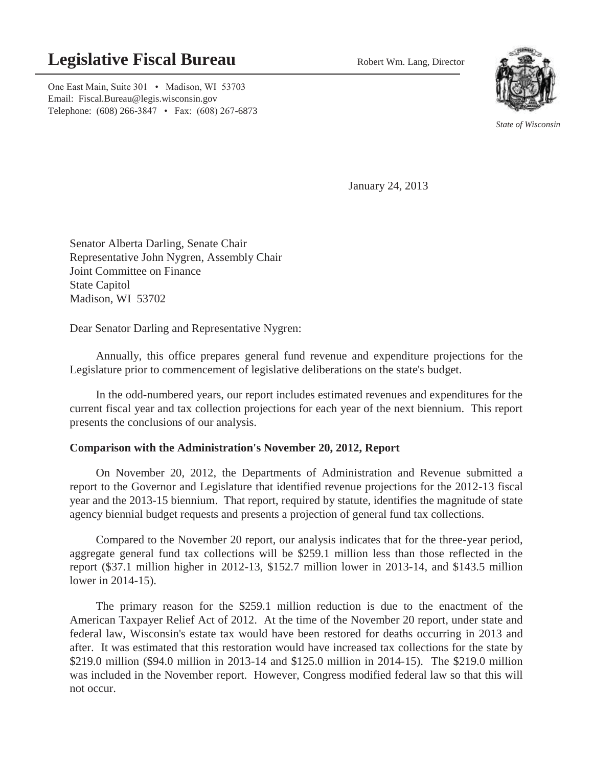# **Legislative Fiscal Bureau** Robert Wm. Lang, Director

One East Main, Suite 301 • Madison, WI 53703 Email: Fiscal.Bureau@legis.wisconsin.gov Telephone: (608) 266-3847 • Fax: (608) 267-6873



*State of Wisconsin* 

January 24, 2013

Senator Alberta Darling, Senate Chair Representative John Nygren, Assembly Chair Joint Committee on Finance State Capitol Madison, WI 53702

Dear Senator Darling and Representative Nygren:

 Annually, this office prepares general fund revenue and expenditure projections for the Legislature prior to commencement of legislative deliberations on the state's budget.

 In the odd-numbered years, our report includes estimated revenues and expenditures for the current fiscal year and tax collection projections for each year of the next biennium. This report presents the conclusions of our analysis.

#### **Comparison with the Administration's November 20, 2012, Report**

 On November 20, 2012, the Departments of Administration and Revenue submitted a report to the Governor and Legislature that identified revenue projections for the 2012-13 fiscal year and the 2013-15 biennium. That report, required by statute, identifies the magnitude of state agency biennial budget requests and presents a projection of general fund tax collections.

 Compared to the November 20 report, our analysis indicates that for the three-year period, aggregate general fund tax collections will be \$259.1 million less than those reflected in the report (\$37.1 million higher in 2012-13, \$152.7 million lower in 2013-14, and \$143.5 million lower in 2014-15).

 The primary reason for the \$259.1 million reduction is due to the enactment of the American Taxpayer Relief Act of 2012. At the time of the November 20 report, under state and federal law, Wisconsin's estate tax would have been restored for deaths occurring in 2013 and after. It was estimated that this restoration would have increased tax collections for the state by \$219.0 million (\$94.0 million in 2013-14 and \$125.0 million in 2014-15). The \$219.0 million was included in the November report. However, Congress modified federal law so that this will not occur.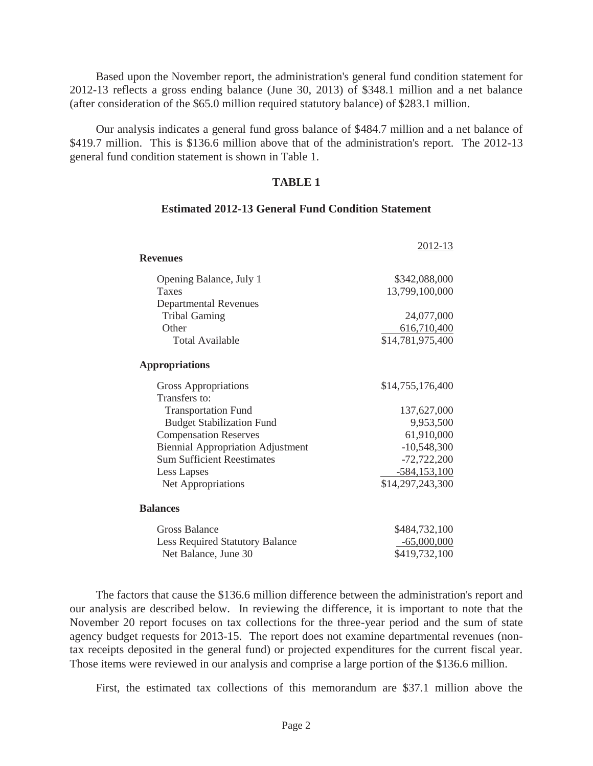Based upon the November report, the administration's general fund condition statement for 2012-13 reflects a gross ending balance (June 30, 2013) of \$348.1 million and a net balance (after consideration of the \$65.0 million required statutory balance) of \$283.1 million.

 Our analysis indicates a general fund gross balance of \$484.7 million and a net balance of \$419.7 million. This is \$136.6 million above that of the administration's report. The 2012-13 general fund condition statement is shown in Table 1.

#### **TABLE 1**

#### **Estimated 2012-13 General Fund Condition Statement**

|                                          | 2012-13          |
|------------------------------------------|------------------|
| <b>Revenues</b>                          |                  |
| Opening Balance, July 1                  | \$342,088,000    |
| Taxes                                    | 13,799,100,000   |
| <b>Departmental Revenues</b>             |                  |
| <b>Tribal Gaming</b>                     | 24,077,000       |
| Other                                    | 616,710,400      |
| Total Available                          | \$14,781,975,400 |
| <b>Appropriations</b>                    |                  |
| Gross Appropriations                     | \$14,755,176,400 |
| Transfers to:                            |                  |
| <b>Transportation Fund</b>               | 137,627,000      |
| <b>Budget Stabilization Fund</b>         | 9,953,500        |
| <b>Compensation Reserves</b>             | 61,910,000       |
| <b>Biennial Appropriation Adjustment</b> | $-10,548,300$    |
| <b>Sum Sufficient Reestimates</b>        | $-72,722,200$    |
| Less Lapses                              | $-584, 153, 100$ |
| Net Appropriations                       | \$14,297,243,300 |
| <b>Balances</b>                          |                  |
| <b>Gross Balance</b>                     | \$484,732,100    |
| <b>Less Required Statutory Balance</b>   | $-65,000,000$    |
| Net Balance, June 30                     | \$419,732,100    |

 The factors that cause the \$136.6 million difference between the administration's report and our analysis are described below. In reviewing the difference, it is important to note that the November 20 report focuses on tax collections for the three-year period and the sum of state agency budget requests for 2013-15. The report does not examine departmental revenues (nontax receipts deposited in the general fund) or projected expenditures for the current fiscal year. Those items were reviewed in our analysis and comprise a large portion of the \$136.6 million.

First, the estimated tax collections of this memorandum are \$37.1 million above the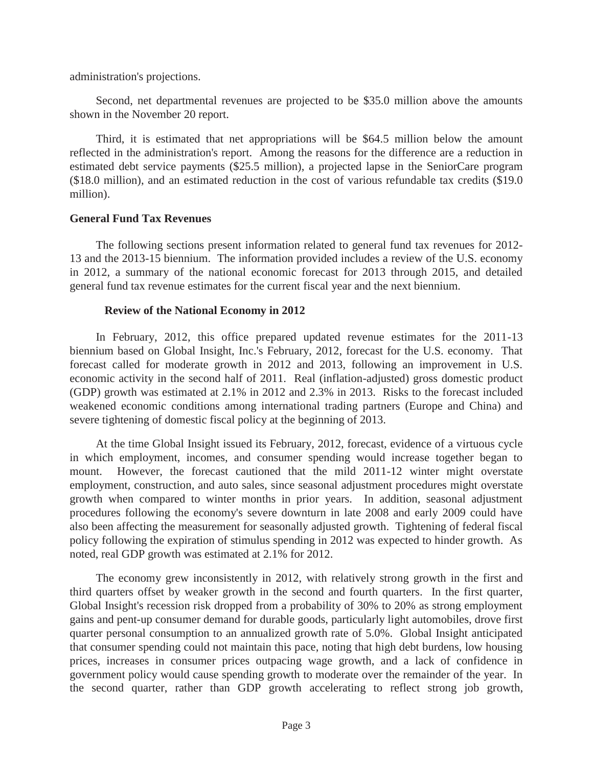administration's projections.

 Second, net departmental revenues are projected to be \$35.0 million above the amounts shown in the November 20 report.

 Third, it is estimated that net appropriations will be \$64.5 million below the amount reflected in the administration's report. Among the reasons for the difference are a reduction in estimated debt service payments (\$25.5 million), a projected lapse in the SeniorCare program (\$18.0 million), and an estimated reduction in the cost of various refundable tax credits (\$19.0 million).

# **General Fund Tax Revenues**

 The following sections present information related to general fund tax revenues for 2012- 13 and the 2013-15 biennium. The information provided includes a review of the U.S. economy in 2012, a summary of the national economic forecast for 2013 through 2015, and detailed general fund tax revenue estimates for the current fiscal year and the next biennium.

# **Review of the National Economy in 2012**

 In February, 2012, this office prepared updated revenue estimates for the 2011-13 biennium based on Global Insight, Inc.'s February, 2012, forecast for the U.S. economy. That forecast called for moderate growth in 2012 and 2013, following an improvement in U.S. economic activity in the second half of 2011. Real (inflation-adjusted) gross domestic product (GDP) growth was estimated at 2.1% in 2012 and 2.3% in 2013. Risks to the forecast included weakened economic conditions among international trading partners (Europe and China) and severe tightening of domestic fiscal policy at the beginning of 2013.

 At the time Global Insight issued its February, 2012, forecast, evidence of a virtuous cycle in which employment, incomes, and consumer spending would increase together began to mount. However, the forecast cautioned that the mild 2011-12 winter might overstate employment, construction, and auto sales, since seasonal adjustment procedures might overstate growth when compared to winter months in prior years. In addition, seasonal adjustment procedures following the economy's severe downturn in late 2008 and early 2009 could have also been affecting the measurement for seasonally adjusted growth. Tightening of federal fiscal policy following the expiration of stimulus spending in 2012 was expected to hinder growth. As noted, real GDP growth was estimated at 2.1% for 2012.

 The economy grew inconsistently in 2012, with relatively strong growth in the first and third quarters offset by weaker growth in the second and fourth quarters. In the first quarter, Global Insight's recession risk dropped from a probability of 30% to 20% as strong employment gains and pent-up consumer demand for durable goods, particularly light automobiles, drove first quarter personal consumption to an annualized growth rate of 5.0%. Global Insight anticipated that consumer spending could not maintain this pace, noting that high debt burdens, low housing prices, increases in consumer prices outpacing wage growth, and a lack of confidence in government policy would cause spending growth to moderate over the remainder of the year. In the second quarter, rather than GDP growth accelerating to reflect strong job growth,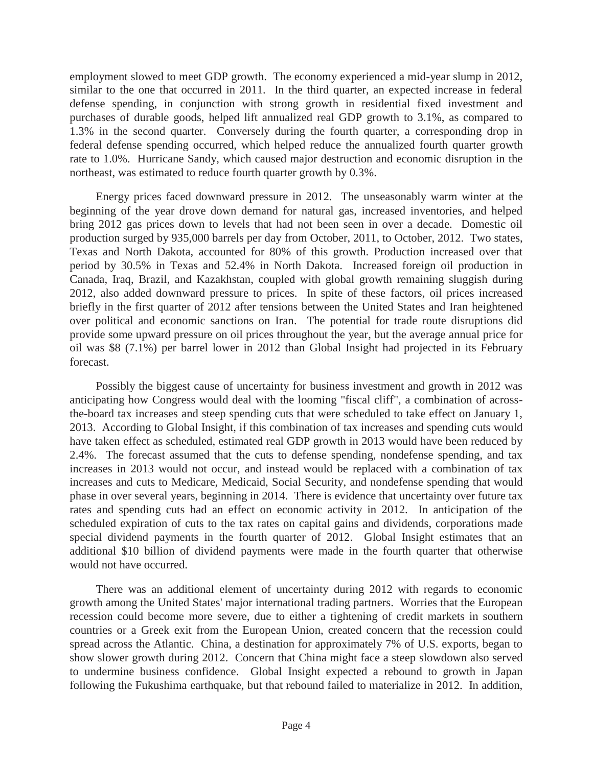employment slowed to meet GDP growth. The economy experienced a mid-year slump in 2012, similar to the one that occurred in 2011. In the third quarter, an expected increase in federal defense spending, in conjunction with strong growth in residential fixed investment and purchases of durable goods, helped lift annualized real GDP growth to 3.1%, as compared to 1.3% in the second quarter. Conversely during the fourth quarter, a corresponding drop in federal defense spending occurred, which helped reduce the annualized fourth quarter growth rate to 1.0%. Hurricane Sandy, which caused major destruction and economic disruption in the northeast, was estimated to reduce fourth quarter growth by 0.3%.

 Energy prices faced downward pressure in 2012. The unseasonably warm winter at the beginning of the year drove down demand for natural gas, increased inventories, and helped bring 2012 gas prices down to levels that had not been seen in over a decade. Domestic oil production surged by 935,000 barrels per day from October, 2011, to October, 2012. Two states, Texas and North Dakota, accounted for 80% of this growth. Production increased over that period by 30.5% in Texas and 52.4% in North Dakota. Increased foreign oil production in Canada, Iraq, Brazil, and Kazakhstan, coupled with global growth remaining sluggish during 2012, also added downward pressure to prices. In spite of these factors, oil prices increased briefly in the first quarter of 2012 after tensions between the United States and Iran heightened over political and economic sanctions on Iran. The potential for trade route disruptions did provide some upward pressure on oil prices throughout the year, but the average annual price for oil was \$8 (7.1%) per barrel lower in 2012 than Global Insight had projected in its February forecast.

 Possibly the biggest cause of uncertainty for business investment and growth in 2012 was anticipating how Congress would deal with the looming "fiscal cliff", a combination of acrossthe-board tax increases and steep spending cuts that were scheduled to take effect on January 1, 2013. According to Global Insight, if this combination of tax increases and spending cuts would have taken effect as scheduled, estimated real GDP growth in 2013 would have been reduced by 2.4%. The forecast assumed that the cuts to defense spending, nondefense spending, and tax increases in 2013 would not occur, and instead would be replaced with a combination of tax increases and cuts to Medicare, Medicaid, Social Security, and nondefense spending that would phase in over several years, beginning in 2014. There is evidence that uncertainty over future tax rates and spending cuts had an effect on economic activity in 2012. In anticipation of the scheduled expiration of cuts to the tax rates on capital gains and dividends, corporations made special dividend payments in the fourth quarter of 2012. Global Insight estimates that an additional \$10 billion of dividend payments were made in the fourth quarter that otherwise would not have occurred.

 There was an additional element of uncertainty during 2012 with regards to economic growth among the United States' major international trading partners. Worries that the European recession could become more severe, due to either a tightening of credit markets in southern countries or a Greek exit from the European Union, created concern that the recession could spread across the Atlantic. China, a destination for approximately 7% of U.S. exports, began to show slower growth during 2012. Concern that China might face a steep slowdown also served to undermine business confidence. Global Insight expected a rebound to growth in Japan following the Fukushima earthquake, but that rebound failed to materialize in 2012. In addition,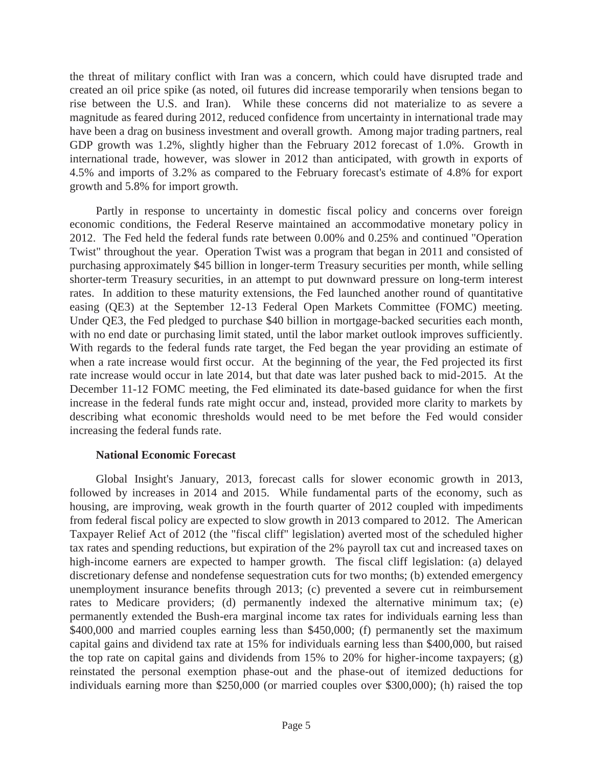the threat of military conflict with Iran was a concern, which could have disrupted trade and created an oil price spike (as noted, oil futures did increase temporarily when tensions began to rise between the U.S. and Iran). While these concerns did not materialize to as severe a magnitude as feared during 2012, reduced confidence from uncertainty in international trade may have been a drag on business investment and overall growth. Among major trading partners, real GDP growth was 1.2%, slightly higher than the February 2012 forecast of 1.0%. Growth in international trade, however, was slower in 2012 than anticipated, with growth in exports of 4.5% and imports of 3.2% as compared to the February forecast's estimate of 4.8% for export growth and 5.8% for import growth.

 Partly in response to uncertainty in domestic fiscal policy and concerns over foreign economic conditions, the Federal Reserve maintained an accommodative monetary policy in 2012. The Fed held the federal funds rate between 0.00% and 0.25% and continued "Operation Twist" throughout the year. Operation Twist was a program that began in 2011 and consisted of purchasing approximately \$45 billion in longer-term Treasury securities per month, while selling shorter-term Treasury securities, in an attempt to put downward pressure on long-term interest rates. In addition to these maturity extensions, the Fed launched another round of quantitative easing (QE3) at the September 12-13 Federal Open Markets Committee (FOMC) meeting. Under QE3, the Fed pledged to purchase \$40 billion in mortgage-backed securities each month, with no end date or purchasing limit stated, until the labor market outlook improves sufficiently. With regards to the federal funds rate target, the Fed began the year providing an estimate of when a rate increase would first occur. At the beginning of the year, the Fed projected its first rate increase would occur in late 2014, but that date was later pushed back to mid-2015. At the December 11-12 FOMC meeting, the Fed eliminated its date-based guidance for when the first increase in the federal funds rate might occur and, instead, provided more clarity to markets by describing what economic thresholds would need to be met before the Fed would consider increasing the federal funds rate.

# **National Economic Forecast**

 Global Insight's January, 2013, forecast calls for slower economic growth in 2013, followed by increases in 2014 and 2015. While fundamental parts of the economy, such as housing, are improving, weak growth in the fourth quarter of 2012 coupled with impediments from federal fiscal policy are expected to slow growth in 2013 compared to 2012. The American Taxpayer Relief Act of 2012 (the "fiscal cliff" legislation) averted most of the scheduled higher tax rates and spending reductions, but expiration of the 2% payroll tax cut and increased taxes on high-income earners are expected to hamper growth. The fiscal cliff legislation: (a) delayed discretionary defense and nondefense sequestration cuts for two months; (b) extended emergency unemployment insurance benefits through 2013; (c) prevented a severe cut in reimbursement rates to Medicare providers; (d) permanently indexed the alternative minimum tax; (e) permanently extended the Bush-era marginal income tax rates for individuals earning less than \$400,000 and married couples earning less than \$450,000; (f) permanently set the maximum capital gains and dividend tax rate at 15% for individuals earning less than \$400,000, but raised the top rate on capital gains and dividends from 15% to 20% for higher-income taxpayers;  $(g)$ reinstated the personal exemption phase-out and the phase-out of itemized deductions for individuals earning more than \$250,000 (or married couples over \$300,000); (h) raised the top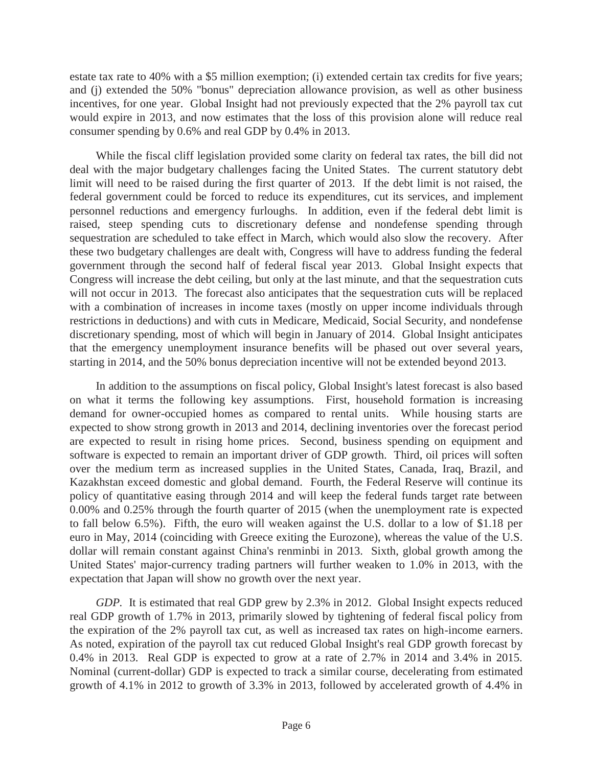estate tax rate to 40% with a \$5 million exemption; (i) extended certain tax credits for five years; and (j) extended the 50% "bonus" depreciation allowance provision, as well as other business incentives, for one year. Global Insight had not previously expected that the 2% payroll tax cut would expire in 2013, and now estimates that the loss of this provision alone will reduce real consumer spending by 0.6% and real GDP by 0.4% in 2013.

 While the fiscal cliff legislation provided some clarity on federal tax rates, the bill did not deal with the major budgetary challenges facing the United States. The current statutory debt limit will need to be raised during the first quarter of 2013. If the debt limit is not raised, the federal government could be forced to reduce its expenditures, cut its services, and implement personnel reductions and emergency furloughs. In addition, even if the federal debt limit is raised, steep spending cuts to discretionary defense and nondefense spending through sequestration are scheduled to take effect in March, which would also slow the recovery. After these two budgetary challenges are dealt with, Congress will have to address funding the federal government through the second half of federal fiscal year 2013. Global Insight expects that Congress will increase the debt ceiling, but only at the last minute, and that the sequestration cuts will not occur in 2013. The forecast also anticipates that the sequestration cuts will be replaced with a combination of increases in income taxes (mostly on upper income individuals through restrictions in deductions) and with cuts in Medicare, Medicaid, Social Security, and nondefense discretionary spending, most of which will begin in January of 2014. Global Insight anticipates that the emergency unemployment insurance benefits will be phased out over several years, starting in 2014, and the 50% bonus depreciation incentive will not be extended beyond 2013.

 In addition to the assumptions on fiscal policy, Global Insight's latest forecast is also based on what it terms the following key assumptions. First, household formation is increasing demand for owner-occupied homes as compared to rental units. While housing starts are expected to show strong growth in 2013 and 2014, declining inventories over the forecast period are expected to result in rising home prices. Second, business spending on equipment and software is expected to remain an important driver of GDP growth. Third, oil prices will soften over the medium term as increased supplies in the United States, Canada, Iraq, Brazil, and Kazakhstan exceed domestic and global demand. Fourth, the Federal Reserve will continue its policy of quantitative easing through 2014 and will keep the federal funds target rate between 0.00% and 0.25% through the fourth quarter of 2015 (when the unemployment rate is expected to fall below 6.5%). Fifth, the euro will weaken against the U.S. dollar to a low of \$1.18 per euro in May, 2014 (coinciding with Greece exiting the Eurozone), whereas the value of the U.S. dollar will remain constant against China's renminbi in 2013. Sixth, global growth among the United States' major-currency trading partners will further weaken to 1.0% in 2013, with the expectation that Japan will show no growth over the next year.

*GDP.* It is estimated that real GDP grew by 2.3% in 2012. Global Insight expects reduced real GDP growth of 1.7% in 2013, primarily slowed by tightening of federal fiscal policy from the expiration of the 2% payroll tax cut, as well as increased tax rates on high-income earners. As noted, expiration of the payroll tax cut reduced Global Insight's real GDP growth forecast by 0.4% in 2013. Real GDP is expected to grow at a rate of 2.7% in 2014 and 3.4% in 2015. Nominal (current-dollar) GDP is expected to track a similar course, decelerating from estimated growth of 4.1% in 2012 to growth of 3.3% in 2013, followed by accelerated growth of 4.4% in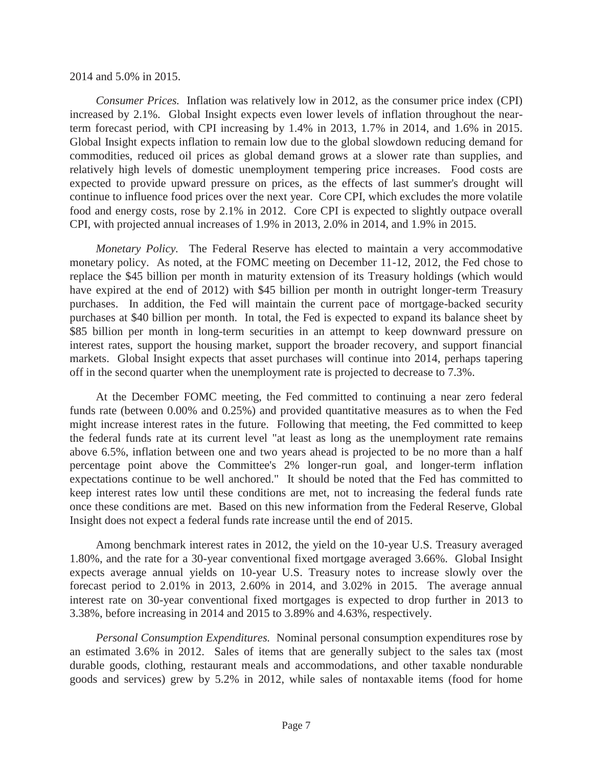#### 2014 and 5.0% in 2015.

 *Consumer Prices.* Inflation was relatively low in 2012, as the consumer price index (CPI) increased by 2.1%. Global Insight expects even lower levels of inflation throughout the nearterm forecast period, with CPI increasing by 1.4% in 2013, 1.7% in 2014, and 1.6% in 2015. Global Insight expects inflation to remain low due to the global slowdown reducing demand for commodities, reduced oil prices as global demand grows at a slower rate than supplies, and relatively high levels of domestic unemployment tempering price increases. Food costs are expected to provide upward pressure on prices, as the effects of last summer's drought will continue to influence food prices over the next year. Core CPI, which excludes the more volatile food and energy costs, rose by 2.1% in 2012. Core CPI is expected to slightly outpace overall CPI, with projected annual increases of 1.9% in 2013, 2.0% in 2014, and 1.9% in 2015.

*Monetary Policy.* The Federal Reserve has elected to maintain a very accommodative monetary policy. As noted, at the FOMC meeting on December 11-12, 2012, the Fed chose to replace the \$45 billion per month in maturity extension of its Treasury holdings (which would have expired at the end of 2012) with \$45 billion per month in outright longer-term Treasury purchases. In addition, the Fed will maintain the current pace of mortgage-backed security purchases at \$40 billion per month. In total, the Fed is expected to expand its balance sheet by \$85 billion per month in long-term securities in an attempt to keep downward pressure on interest rates, support the housing market, support the broader recovery, and support financial markets. Global Insight expects that asset purchases will continue into 2014, perhaps tapering off in the second quarter when the unemployment rate is projected to decrease to 7.3%.

 At the December FOMC meeting, the Fed committed to continuing a near zero federal funds rate (between 0.00% and 0.25%) and provided quantitative measures as to when the Fed might increase interest rates in the future. Following that meeting, the Fed committed to keep the federal funds rate at its current level "at least as long as the unemployment rate remains above 6.5%, inflation between one and two years ahead is projected to be no more than a half percentage point above the Committee's 2% longer-run goal, and longer-term inflation expectations continue to be well anchored." It should be noted that the Fed has committed to keep interest rates low until these conditions are met, not to increasing the federal funds rate once these conditions are met. Based on this new information from the Federal Reserve, Global Insight does not expect a federal funds rate increase until the end of 2015.

 Among benchmark interest rates in 2012, the yield on the 10-year U.S. Treasury averaged 1.80%, and the rate for a 30-year conventional fixed mortgage averaged 3.66%. Global Insight expects average annual yields on 10-year U.S. Treasury notes to increase slowly over the forecast period to 2.01% in 2013, 2.60% in 2014, and 3.02% in 2015. The average annual interest rate on 30-year conventional fixed mortgages is expected to drop further in 2013 to 3.38%, before increasing in 2014 and 2015 to 3.89% and 4.63%, respectively.

 *Personal Consumption Expenditures.* Nominal personal consumption expenditures rose by an estimated 3.6% in 2012. Sales of items that are generally subject to the sales tax (most durable goods, clothing, restaurant meals and accommodations, and other taxable nondurable goods and services) grew by 5.2% in 2012, while sales of nontaxable items (food for home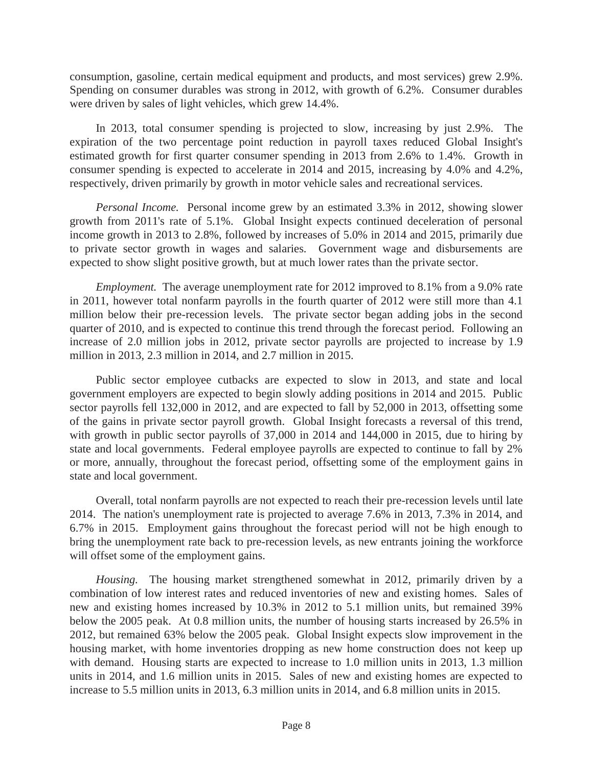consumption, gasoline, certain medical equipment and products, and most services) grew 2.9%. Spending on consumer durables was strong in 2012, with growth of 6.2%. Consumer durables were driven by sales of light vehicles, which grew 14.4%.

 In 2013, total consumer spending is projected to slow, increasing by just 2.9%. The expiration of the two percentage point reduction in payroll taxes reduced Global Insight's estimated growth for first quarter consumer spending in 2013 from 2.6% to 1.4%. Growth in consumer spending is expected to accelerate in 2014 and 2015, increasing by 4.0% and 4.2%, respectively, driven primarily by growth in motor vehicle sales and recreational services.

 *Personal Income.* Personal income grew by an estimated 3.3% in 2012, showing slower growth from 2011's rate of 5.1%. Global Insight expects continued deceleration of personal income growth in 2013 to 2.8%, followed by increases of 5.0% in 2014 and 2015, primarily due to private sector growth in wages and salaries. Government wage and disbursements are expected to show slight positive growth, but at much lower rates than the private sector.

 *Employment.* The average unemployment rate for 2012 improved to 8.1% from a 9.0% rate in 2011, however total nonfarm payrolls in the fourth quarter of 2012 were still more than 4.1 million below their pre-recession levels. The private sector began adding jobs in the second quarter of 2010, and is expected to continue this trend through the forecast period. Following an increase of 2.0 million jobs in 2012, private sector payrolls are projected to increase by 1.9 million in 2013, 2.3 million in 2014, and 2.7 million in 2015.

 Public sector employee cutbacks are expected to slow in 2013, and state and local government employers are expected to begin slowly adding positions in 2014 and 2015. Public sector payrolls fell 132,000 in 2012, and are expected to fall by 52,000 in 2013, offsetting some of the gains in private sector payroll growth. Global Insight forecasts a reversal of this trend, with growth in public sector payrolls of 37,000 in 2014 and 144,000 in 2015, due to hiring by state and local governments. Federal employee payrolls are expected to continue to fall by 2% or more, annually, throughout the forecast period, offsetting some of the employment gains in state and local government.

 Overall, total nonfarm payrolls are not expected to reach their pre-recession levels until late 2014. The nation's unemployment rate is projected to average 7.6% in 2013, 7.3% in 2014, and 6.7% in 2015. Employment gains throughout the forecast period will not be high enough to bring the unemployment rate back to pre-recession levels, as new entrants joining the workforce will offset some of the employment gains.

 *Housing.* The housing market strengthened somewhat in 2012, primarily driven by a combination of low interest rates and reduced inventories of new and existing homes. Sales of new and existing homes increased by 10.3% in 2012 to 5.1 million units, but remained 39% below the 2005 peak. At 0.8 million units, the number of housing starts increased by 26.5% in 2012, but remained 63% below the 2005 peak. Global Insight expects slow improvement in the housing market, with home inventories dropping as new home construction does not keep up with demand. Housing starts are expected to increase to 1.0 million units in 2013, 1.3 million units in 2014, and 1.6 million units in 2015. Sales of new and existing homes are expected to increase to 5.5 million units in 2013, 6.3 million units in 2014, and 6.8 million units in 2015.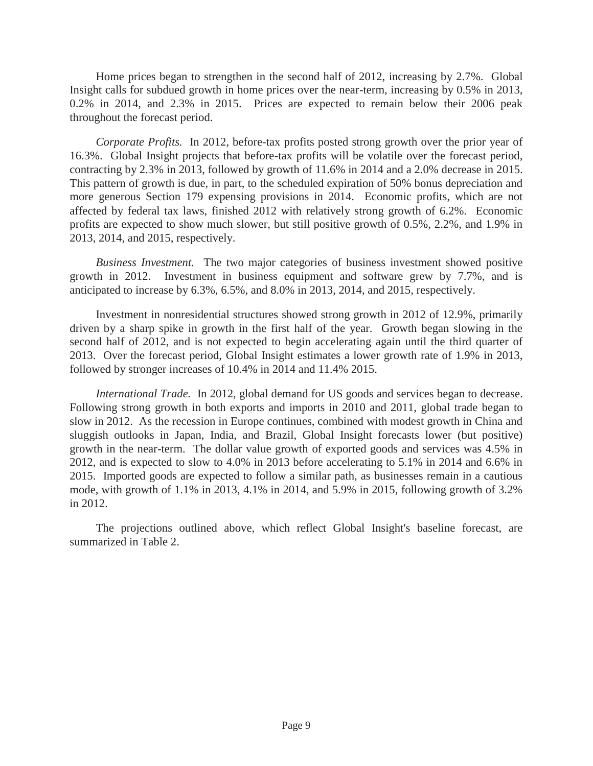Home prices began to strengthen in the second half of 2012, increasing by 2.7%. Global Insight calls for subdued growth in home prices over the near-term, increasing by 0.5% in 2013, 0.2% in 2014, and 2.3% in 2015. Prices are expected to remain below their 2006 peak throughout the forecast period.

 *Corporate Profits.* In 2012, before-tax profits posted strong growth over the prior year of 16.3%. Global Insight projects that before-tax profits will be volatile over the forecast period, contracting by 2.3% in 2013, followed by growth of 11.6% in 2014 and a 2.0% decrease in 2015. This pattern of growth is due, in part, to the scheduled expiration of 50% bonus depreciation and more generous Section 179 expensing provisions in 2014. Economic profits, which are not affected by federal tax laws, finished 2012 with relatively strong growth of 6.2%. Economic profits are expected to show much slower, but still positive growth of 0.5%, 2.2%, and 1.9% in 2013, 2014, and 2015, respectively.

 *Business Investment.* The two major categories of business investment showed positive growth in 2012. Investment in business equipment and software grew by 7.7%, and is anticipated to increase by 6.3%, 6.5%, and 8.0% in 2013, 2014, and 2015, respectively.

 Investment in nonresidential structures showed strong growth in 2012 of 12.9%, primarily driven by a sharp spike in growth in the first half of the year. Growth began slowing in the second half of 2012, and is not expected to begin accelerating again until the third quarter of 2013. Over the forecast period, Global Insight estimates a lower growth rate of 1.9% in 2013, followed by stronger increases of 10.4% in 2014 and 11.4% 2015.

 *International Trade.* In 2012, global demand for US goods and services began to decrease. Following strong growth in both exports and imports in 2010 and 2011, global trade began to slow in 2012. As the recession in Europe continues, combined with modest growth in China and sluggish outlooks in Japan, India, and Brazil, Global Insight forecasts lower (but positive) growth in the near-term. The dollar value growth of exported goods and services was 4.5% in 2012, and is expected to slow to 4.0% in 2013 before accelerating to 5.1% in 2014 and 6.6% in 2015. Imported goods are expected to follow a similar path, as businesses remain in a cautious mode, with growth of 1.1% in 2013, 4.1% in 2014, and 5.9% in 2015, following growth of 3.2% in 2012.

 The projections outlined above, which reflect Global Insight's baseline forecast, are summarized in Table 2.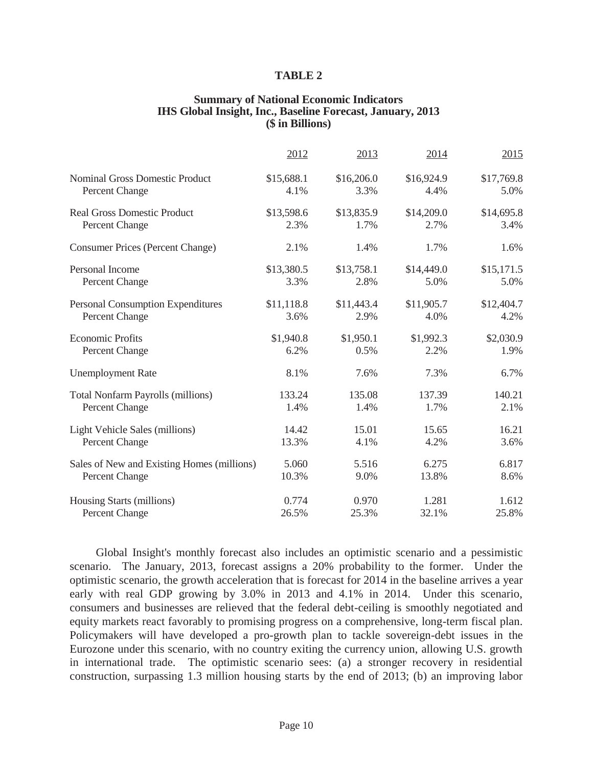#### **TABLE 2**

#### **Summary of National Economic Indicators IHS Global Insight, Inc., Baseline Forecast, January, 2013 (\$ in Billions)**

|                                            | 2012       | 2013       | 2014       | 2015       |
|--------------------------------------------|------------|------------|------------|------------|
| <b>Nominal Gross Domestic Product</b>      | \$15,688.1 | \$16,206.0 | \$16,924.9 | \$17,769.8 |
| Percent Change                             | 4.1%       | 3.3%       | 4.4%       | 5.0%       |
| <b>Real Gross Domestic Product</b>         | \$13,598.6 | \$13,835.9 | \$14,209.0 | \$14,695.8 |
| Percent Change                             | 2.3%       | 1.7%       | 2.7%       | 3.4%       |
| <b>Consumer Prices (Percent Change)</b>    | 2.1%       | 1.4%       | 1.7%       | 1.6%       |
| Personal Income                            | \$13,380.5 | \$13,758.1 | \$14,449.0 | \$15,171.5 |
| Percent Change                             | 3.3%       | 2.8%       | 5.0%       | 5.0%       |
| <b>Personal Consumption Expenditures</b>   | \$11,118.8 | \$11,443.4 | \$11,905.7 | \$12,404.7 |
| Percent Change                             | 3.6%       | 2.9%       | 4.0%       | 4.2%       |
| <b>Economic Profits</b>                    | \$1,940.8  | \$1,950.1  | \$1,992.3  | \$2,030.9  |
| Percent Change                             | 6.2%       | 0.5%       | 2.2%       | 1.9%       |
| <b>Unemployment Rate</b>                   | 8.1%       | 7.6%       | 7.3%       | 6.7%       |
| <b>Total Nonfarm Payrolls (millions)</b>   | 133.24     | 135.08     | 137.39     | 140.21     |
| Percent Change                             | 1.4%       | 1.4%       | 1.7%       | 2.1%       |
| Light Vehicle Sales (millions)             | 14.42      | 15.01      | 15.65      | 16.21      |
| <b>Percent Change</b>                      | 13.3%      | 4.1%       | 4.2%       | 3.6%       |
| Sales of New and Existing Homes (millions) | 5.060      | 5.516      | 6.275      | 6.817      |
| Percent Change                             | 10.3%      | 9.0%       | 13.8%      | 8.6%       |
| Housing Starts (millions)                  | 0.774      | 0.970      | 1.281      | 1.612      |
| <b>Percent Change</b>                      | 26.5%      | 25.3%      | 32.1%      | 25.8%      |

 Global Insight's monthly forecast also includes an optimistic scenario and a pessimistic scenario. The January, 2013, forecast assigns a 20% probability to the former. Under the optimistic scenario, the growth acceleration that is forecast for 2014 in the baseline arrives a year early with real GDP growing by 3.0% in 2013 and 4.1% in 2014. Under this scenario, consumers and businesses are relieved that the federal debt-ceiling is smoothly negotiated and equity markets react favorably to promising progress on a comprehensive, long-term fiscal plan. Policymakers will have developed a pro-growth plan to tackle sovereign-debt issues in the Eurozone under this scenario, with no country exiting the currency union, allowing U.S. growth in international trade. The optimistic scenario sees: (a) a stronger recovery in residential construction, surpassing 1.3 million housing starts by the end of 2013; (b) an improving labor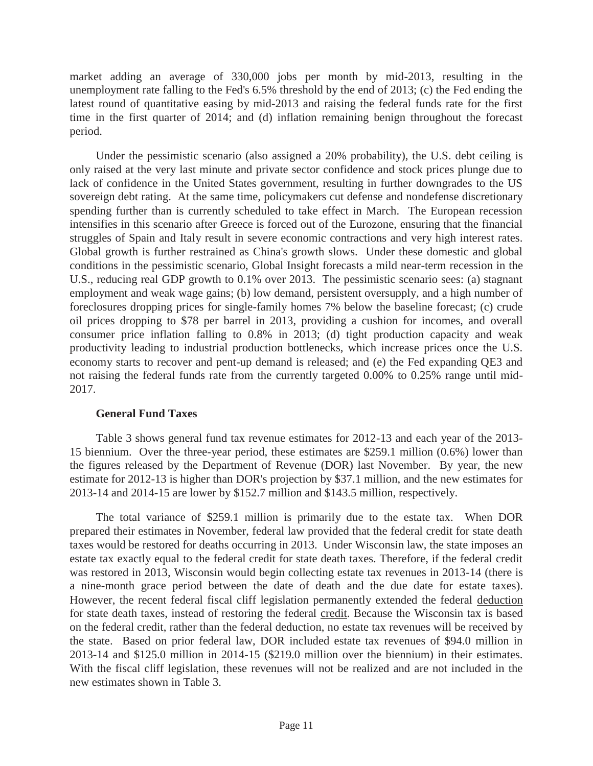market adding an average of 330,000 jobs per month by mid-2013, resulting in the unemployment rate falling to the Fed's 6.5% threshold by the end of 2013; (c) the Fed ending the latest round of quantitative easing by mid-2013 and raising the federal funds rate for the first time in the first quarter of 2014; and (d) inflation remaining benign throughout the forecast period.

 Under the pessimistic scenario (also assigned a 20% probability), the U.S. debt ceiling is only raised at the very last minute and private sector confidence and stock prices plunge due to lack of confidence in the United States government, resulting in further downgrades to the US sovereign debt rating. At the same time, policymakers cut defense and nondefense discretionary spending further than is currently scheduled to take effect in March. The European recession intensifies in this scenario after Greece is forced out of the Eurozone, ensuring that the financial struggles of Spain and Italy result in severe economic contractions and very high interest rates. Global growth is further restrained as China's growth slows. Under these domestic and global conditions in the pessimistic scenario, Global Insight forecasts a mild near-term recession in the U.S., reducing real GDP growth to 0.1% over 2013. The pessimistic scenario sees: (a) stagnant employment and weak wage gains; (b) low demand, persistent oversupply, and a high number of foreclosures dropping prices for single-family homes 7% below the baseline forecast; (c) crude oil prices dropping to \$78 per barrel in 2013, providing a cushion for incomes, and overall consumer price inflation falling to 0.8% in 2013; (d) tight production capacity and weak productivity leading to industrial production bottlenecks, which increase prices once the U.S. economy starts to recover and pent-up demand is released; and (e) the Fed expanding QE3 and not raising the federal funds rate from the currently targeted 0.00% to 0.25% range until mid-2017.

# **General Fund Taxes**

 Table 3 shows general fund tax revenue estimates for 2012-13 and each year of the 2013- 15 biennium. Over the three-year period, these estimates are \$259.1 million (0.6%) lower than the figures released by the Department of Revenue (DOR) last November. By year, the new estimate for 2012-13 is higher than DOR's projection by \$37.1 million, and the new estimates for 2013-14 and 2014-15 are lower by \$152.7 million and \$143.5 million, respectively.

 The total variance of \$259.1 million is primarily due to the estate tax. When DOR prepared their estimates in November, federal law provided that the federal credit for state death taxes would be restored for deaths occurring in 2013. Under Wisconsin law, the state imposes an estate tax exactly equal to the federal credit for state death taxes. Therefore, if the federal credit was restored in 2013, Wisconsin would begin collecting estate tax revenues in 2013-14 (there is a nine-month grace period between the date of death and the due date for estate taxes). However, the recent federal fiscal cliff legislation permanently extended the federal deduction for state death taxes, instead of restoring the federal credit. Because the Wisconsin tax is based on the federal credit, rather than the federal deduction, no estate tax revenues will be received by the state. Based on prior federal law, DOR included estate tax revenues of \$94.0 million in 2013-14 and \$125.0 million in 2014-15 (\$219.0 million over the biennium) in their estimates. With the fiscal cliff legislation, these revenues will not be realized and are not included in the new estimates shown in Table 3.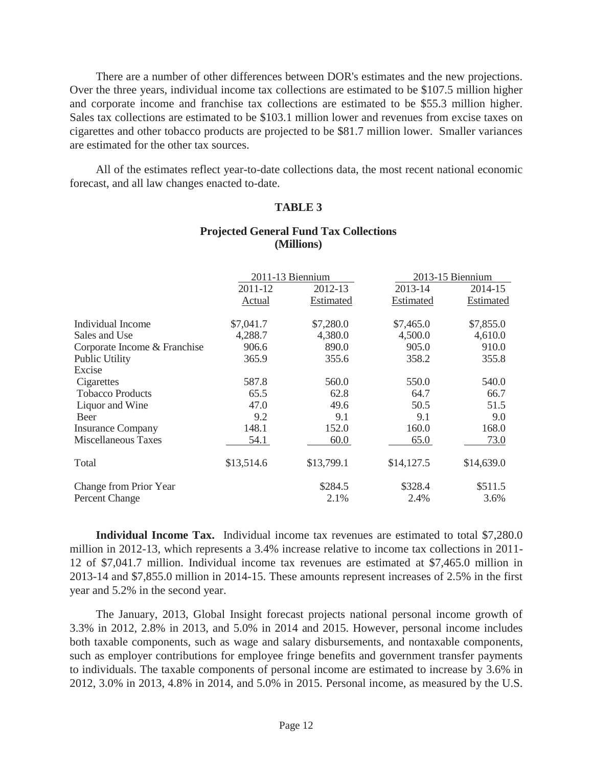There are a number of other differences between DOR's estimates and the new projections. Over the three years, individual income tax collections are estimated to be \$107.5 million higher and corporate income and franchise tax collections are estimated to be \$55.3 million higher. Sales tax collections are estimated to be \$103.1 million lower and revenues from excise taxes on cigarettes and other tobacco products are projected to be \$81.7 million lower. Smaller variances are estimated for the other tax sources.

 All of the estimates reflect year-to-date collections data, the most recent national economic forecast, and all law changes enacted to-date.

# **TABLE 3**

|                              |            | 2011-13 Biennium | 2013-15 Biennium |            |
|------------------------------|------------|------------------|------------------|------------|
|                              | 2011-12    | 2012-13          | 2013-14          | 2014-15    |
|                              | Actual     | Estimated        | Estimated        | Estimated  |
| Individual Income            | \$7,041.7  | \$7,280.0        | \$7,465.0        | \$7,855.0  |
| Sales and Use                | 4,288.7    | 4,380.0          | 4,500.0          | 4,610.0    |
| Corporate Income & Franchise | 906.6      | 890.0            | 905.0            | 910.0      |
| <b>Public Utility</b>        | 365.9      | 355.6            | 358.2            | 355.8      |
| Excise                       |            |                  |                  |            |
| Cigarettes                   | 587.8      | 560.0            | 550.0            | 540.0      |
| <b>Tobacco Products</b>      | 65.5       | 62.8             | 64.7             | 66.7       |
| Liquor and Wine              | 47.0       | 49.6             | 50.5             | 51.5       |
| Beer                         | 9.2        | 9.1              | 9.1              | 9.0        |
| <b>Insurance Company</b>     | 148.1      | 152.0            | 160.0            | 168.0      |
| Miscellaneous Taxes          | 54.1       | 60.0             | 65.0             | 73.0       |
| Total                        | \$13,514.6 | \$13,799.1       | \$14,127.5       | \$14,639.0 |
| Change from Prior Year       |            | \$284.5          | \$328.4          | \$511.5    |
| <b>Percent Change</b>        |            | 2.1%             | 2.4%             | 3.6%       |

# **Projected General Fund Tax Collections (Millions)**

 **Individual Income Tax.** Individual income tax revenues are estimated to total \$7,280.0 million in 2012-13, which represents a 3.4% increase relative to income tax collections in 2011- 12 of \$7,041.7 million. Individual income tax revenues are estimated at \$7,465.0 million in 2013-14 and \$7,855.0 million in 2014-15. These amounts represent increases of 2.5% in the first year and 5.2% in the second year.

 The January, 2013, Global Insight forecast projects national personal income growth of 3.3% in 2012, 2.8% in 2013, and 5.0% in 2014 and 2015. However, personal income includes both taxable components, such as wage and salary disbursements, and nontaxable components, such as employer contributions for employee fringe benefits and government transfer payments to individuals. The taxable components of personal income are estimated to increase by 3.6% in 2012, 3.0% in 2013, 4.8% in 2014, and 5.0% in 2015. Personal income, as measured by the U.S.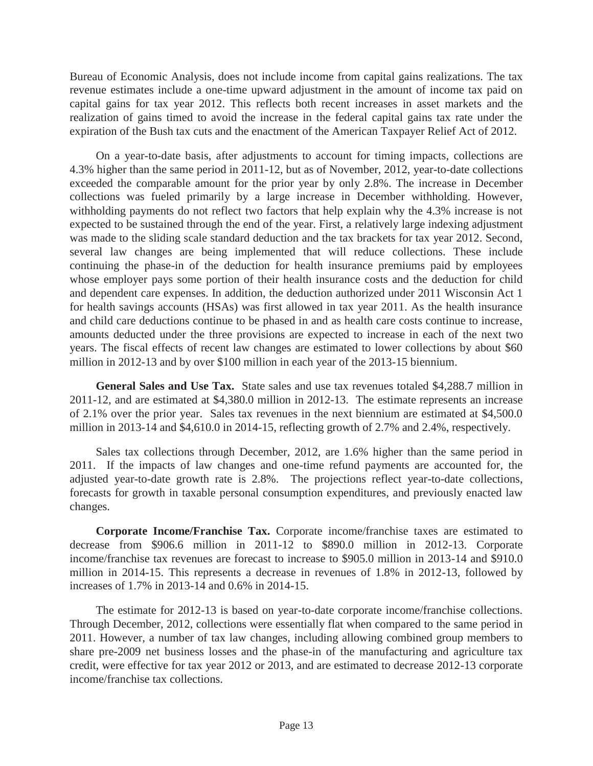Bureau of Economic Analysis, does not include income from capital gains realizations. The tax revenue estimates include a one-time upward adjustment in the amount of income tax paid on capital gains for tax year 2012. This reflects both recent increases in asset markets and the realization of gains timed to avoid the increase in the federal capital gains tax rate under the expiration of the Bush tax cuts and the enactment of the American Taxpayer Relief Act of 2012.

 On a year-to-date basis, after adjustments to account for timing impacts, collections are 4.3% higher than the same period in 2011-12, but as of November, 2012, year-to-date collections exceeded the comparable amount for the prior year by only 2.8%. The increase in December collections was fueled primarily by a large increase in December withholding. However, withholding payments do not reflect two factors that help explain why the 4.3% increase is not expected to be sustained through the end of the year. First, a relatively large indexing adjustment was made to the sliding scale standard deduction and the tax brackets for tax year 2012. Second, several law changes are being implemented that will reduce collections. These include continuing the phase-in of the deduction for health insurance premiums paid by employees whose employer pays some portion of their health insurance costs and the deduction for child and dependent care expenses. In addition, the deduction authorized under 2011 Wisconsin Act 1 for health savings accounts (HSAs) was first allowed in tax year 2011. As the health insurance and child care deductions continue to be phased in and as health care costs continue to increase, amounts deducted under the three provisions are expected to increase in each of the next two years. The fiscal effects of recent law changes are estimated to lower collections by about \$60 million in 2012-13 and by over \$100 million in each year of the 2013-15 biennium.

 **General Sales and Use Tax.** State sales and use tax revenues totaled \$4,288.7 million in 2011-12, and are estimated at \$4,380.0 million in 2012-13. The estimate represents an increase of 2.1% over the prior year. Sales tax revenues in the next biennium are estimated at \$4,500.0 million in 2013-14 and \$4,610.0 in 2014-15, reflecting growth of 2.7% and 2.4%, respectively.

 Sales tax collections through December, 2012, are 1.6% higher than the same period in 2011. If the impacts of law changes and one-time refund payments are accounted for, the adjusted year-to-date growth rate is 2.8%. The projections reflect year-to-date collections, forecasts for growth in taxable personal consumption expenditures, and previously enacted law changes.

 **Corporate Income/Franchise Tax.** Corporate income/franchise taxes are estimated to decrease from \$906.6 million in 2011-12 to \$890.0 million in 2012-13. Corporate income/franchise tax revenues are forecast to increase to \$905.0 million in 2013-14 and \$910.0 million in 2014-15. This represents a decrease in revenues of 1.8% in 2012-13, followed by increases of 1.7% in 2013-14 and 0.6% in 2014-15.

 The estimate for 2012-13 is based on year-to-date corporate income/franchise collections. Through December, 2012, collections were essentially flat when compared to the same period in 2011. However, a number of tax law changes, including allowing combined group members to share pre-2009 net business losses and the phase-in of the manufacturing and agriculture tax credit, were effective for tax year 2012 or 2013, and are estimated to decrease 2012-13 corporate income/franchise tax collections.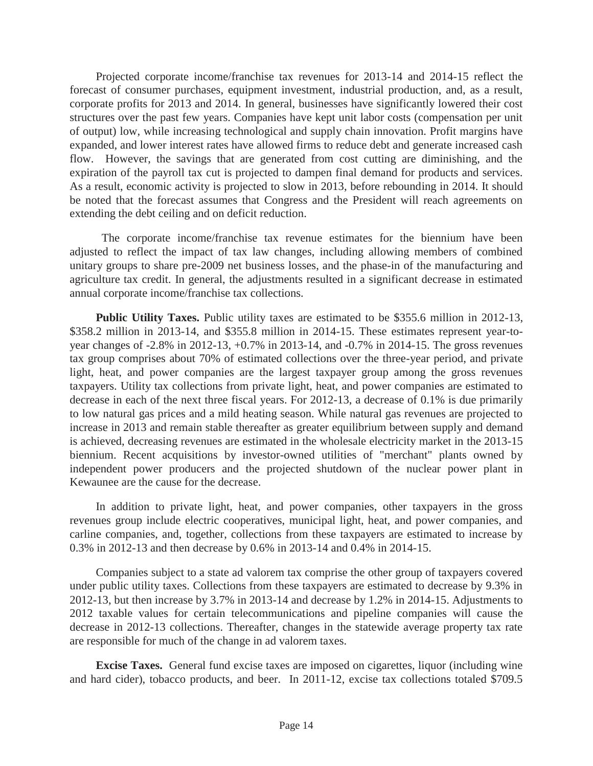Projected corporate income/franchise tax revenues for 2013-14 and 2014-15 reflect the forecast of consumer purchases, equipment investment, industrial production, and, as a result, corporate profits for 2013 and 2014. In general, businesses have significantly lowered their cost structures over the past few years. Companies have kept unit labor costs (compensation per unit of output) low, while increasing technological and supply chain innovation. Profit margins have expanded, and lower interest rates have allowed firms to reduce debt and generate increased cash flow. However, the savings that are generated from cost cutting are diminishing, and the expiration of the payroll tax cut is projected to dampen final demand for products and services. As a result, economic activity is projected to slow in 2013, before rebounding in 2014. It should be noted that the forecast assumes that Congress and the President will reach agreements on extending the debt ceiling and on deficit reduction.

 The corporate income/franchise tax revenue estimates for the biennium have been adjusted to reflect the impact of tax law changes, including allowing members of combined unitary groups to share pre-2009 net business losses, and the phase-in of the manufacturing and agriculture tax credit. In general, the adjustments resulted in a significant decrease in estimated annual corporate income/franchise tax collections.

**Public Utility Taxes.** Public utility taxes are estimated to be \$355.6 million in 2012-13, \$358.2 million in 2013-14, and \$355.8 million in 2014-15. These estimates represent year-toyear changes of -2.8% in 2012-13, +0.7% in 2013-14, and -0.7% in 2014-15. The gross revenues tax group comprises about 70% of estimated collections over the three-year period, and private light, heat, and power companies are the largest taxpayer group among the gross revenues taxpayers. Utility tax collections from private light, heat, and power companies are estimated to decrease in each of the next three fiscal years. For 2012-13, a decrease of 0.1% is due primarily to low natural gas prices and a mild heating season. While natural gas revenues are projected to increase in 2013 and remain stable thereafter as greater equilibrium between supply and demand is achieved, decreasing revenues are estimated in the wholesale electricity market in the 2013-15 biennium. Recent acquisitions by investor-owned utilities of "merchant" plants owned by independent power producers and the projected shutdown of the nuclear power plant in Kewaunee are the cause for the decrease.

 In addition to private light, heat, and power companies, other taxpayers in the gross revenues group include electric cooperatives, municipal light, heat, and power companies, and carline companies, and, together, collections from these taxpayers are estimated to increase by 0.3% in 2012-13 and then decrease by 0.6% in 2013-14 and 0.4% in 2014-15.

 Companies subject to a state ad valorem tax comprise the other group of taxpayers covered under public utility taxes. Collections from these taxpayers are estimated to decrease by 9.3% in 2012-13, but then increase by 3.7% in 2013-14 and decrease by 1.2% in 2014-15. Adjustments to 2012 taxable values for certain telecommunications and pipeline companies will cause the decrease in 2012-13 collections. Thereafter, changes in the statewide average property tax rate are responsible for much of the change in ad valorem taxes.

**Excise Taxes.** General fund excise taxes are imposed on cigarettes, liquor (including wine and hard cider), tobacco products, and beer. In 2011-12, excise tax collections totaled \$709.5